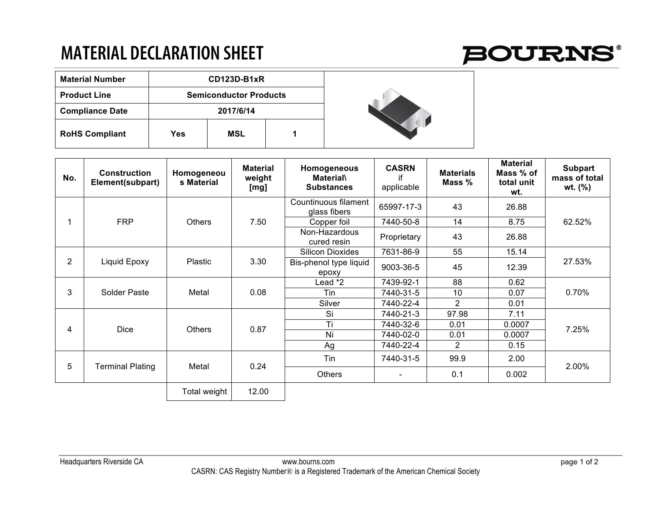## **MATERIAL DECLARATION SHEET**



| <b>Material Number</b> | CD123D-B1xR                   |     |  |  |  |  |
|------------------------|-------------------------------|-----|--|--|--|--|
| <b>Product Line</b>    | <b>Semiconductor Products</b> |     |  |  |  |  |
| <b>Compliance Date</b> | 2017/6/14                     |     |  |  |  |  |
| <b>RoHS Compliant</b>  | Yes                           | MSL |  |  |  |  |



| No.            | <b>Construction</b><br>Element(subpart) | Homogeneou<br>s Material | <b>Material</b><br>weight<br>[mg] | Homogeneous<br><b>Material</b><br><b>Substances</b> | <b>CASRN</b><br>if<br>applicable | <b>Materials</b><br>Mass % | <b>Material</b><br>Mass % of<br>total unit<br>wt. | <b>Subpart</b><br>mass of total<br>wt. (%) |
|----------------|-----------------------------------------|--------------------------|-----------------------------------|-----------------------------------------------------|----------------------------------|----------------------------|---------------------------------------------------|--------------------------------------------|
|                | <b>FRP</b>                              | <b>Others</b>            | 7.50                              | Countinuous filament<br>glass fibers                | 65997-17-3                       | 43                         | 26.88                                             | 62.52%                                     |
|                |                                         |                          |                                   | Copper foil                                         | 7440-50-8                        | 14                         | 8.75                                              |                                            |
|                |                                         |                          |                                   | Non-Hazardous<br>cured resin                        | Proprietary                      | 43                         | 26.88                                             |                                            |
| $\overline{2}$ | Liquid Epoxy                            | <b>Plastic</b>           | 3.30                              | <b>Silicon Dioxides</b>                             | 7631-86-9                        | 55                         | 15.14                                             | 27.53%                                     |
|                |                                         |                          |                                   | Bis-phenol type liquid<br>epoxy                     | 9003-36-5                        | 45                         | 12.39                                             |                                            |
| 3              | Solder Paste                            | Metal                    | 0.08                              | Lead *2                                             | 7439-92-1                        | 88                         | 0.62                                              | 0.70%                                      |
|                |                                         |                          |                                   | Tin                                                 | 7440-31-5                        | 10                         | 0.07                                              |                                            |
|                |                                         |                          |                                   | Silver                                              | 7440-22-4                        | $\overline{2}$             | 0.01                                              |                                            |
| 4              | <b>Dice</b>                             | <b>Others</b>            | 0.87                              | Si                                                  | 7440-21-3                        | 97.98                      | 7.11                                              | 7.25%                                      |
|                |                                         |                          |                                   | Ti                                                  | 7440-32-6                        | 0.01                       | 0.0007                                            |                                            |
|                |                                         |                          |                                   | Ni                                                  | 7440-02-0                        | 0.01                       | 0.0007                                            |                                            |
|                |                                         |                          |                                   | Ag                                                  | 7440-22-4                        | $\overline{2}$             | 0.15                                              |                                            |
| 5              | <b>Terminal Plating</b>                 | Metal                    | 0.24                              | Tin                                                 | 7440-31-5                        | 99.9                       | 2.00                                              | 2.00%                                      |
|                |                                         |                          |                                   | Others                                              | $\overline{\phantom{a}}$         | 0.1                        | 0.002                                             |                                            |
|                |                                         | Total weight             | 12.00                             |                                                     |                                  |                            |                                                   |                                            |